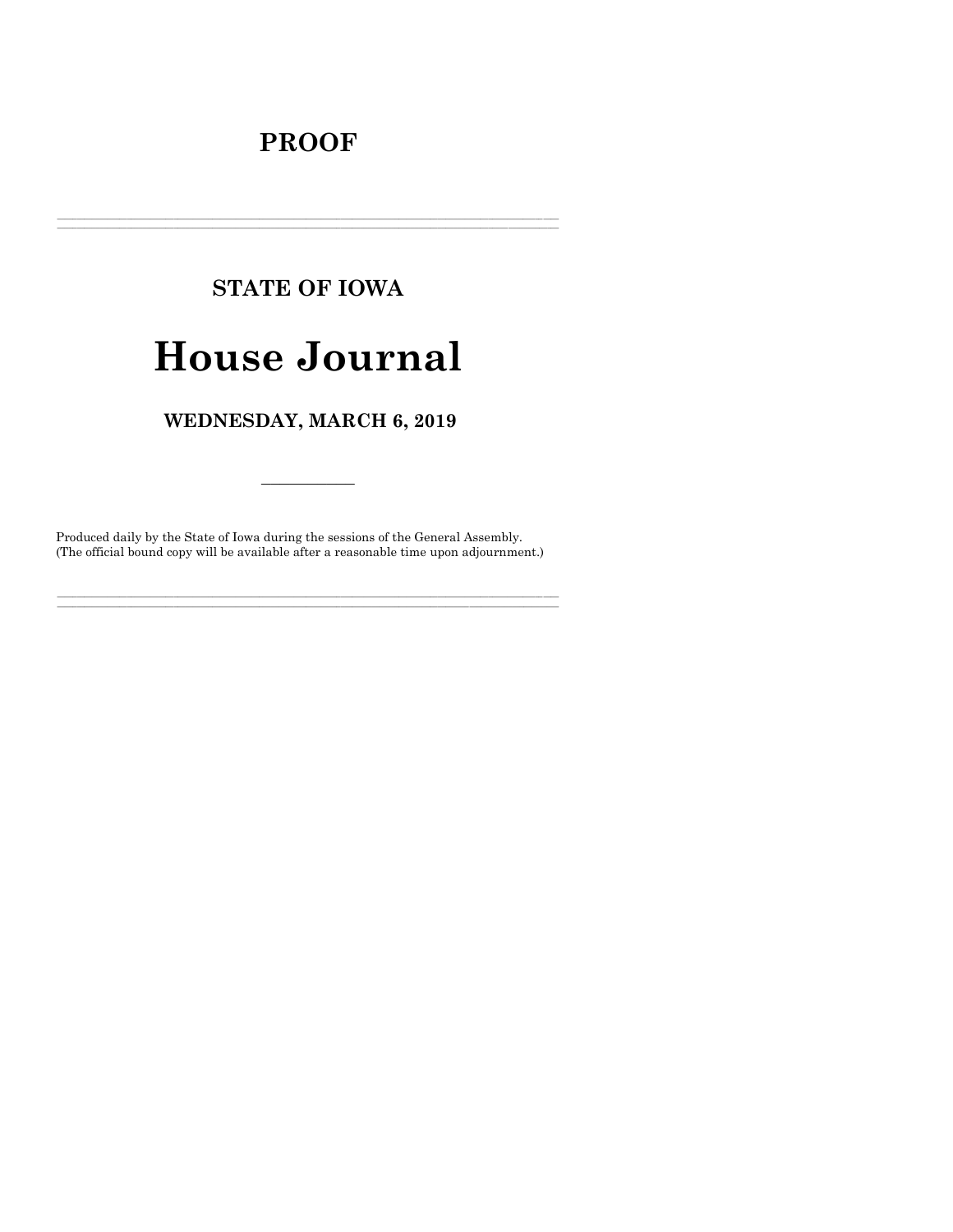## **PROOF**

# **STATE OF IOWA**

## **House Journal**

## WEDNESDAY, MARCH 6, 2019

Produced daily by the State of Iowa during the sessions of the General Assembly. (The official bound copy will be available after a reasonable time upon adjournment.)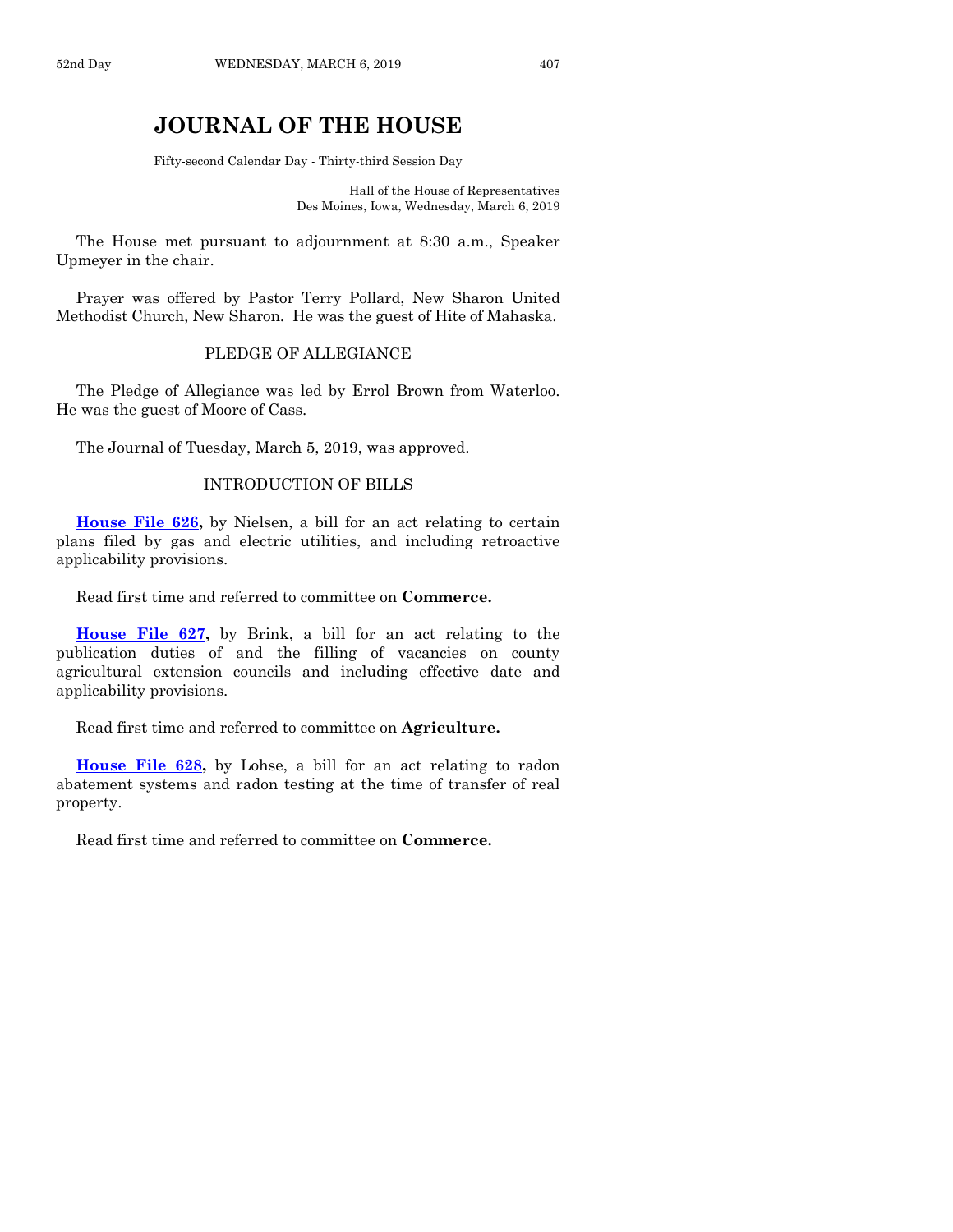## **JOURNAL OF THE HOUSE**

Fifty-second Calendar Day - Thirty-third Session Day

Hall of the House of Representatives Des Moines, Iowa, Wednesday, March 6, 2019

The House met pursuant to adjournment at 8:30 a.m., Speaker Upmeyer in the chair.

Prayer was offered by Pastor Terry Pollard, New Sharon United Methodist Church, New Sharon. He was the guest of Hite of Mahaska.

#### PLEDGE OF ALLEGIANCE

The Pledge of Allegiance was led by Errol Brown from Waterloo. He was the guest of Moore of Cass.

The Journal of Tuesday, March 5, 2019, was approved.

#### INTRODUCTION OF BILLS

**[House File 626,](https://www.legis.iowa.gov/legislation/BillBook?ga=88&ba=HF626)** by Nielsen, a bill for an act relating to certain plans filed by gas and electric utilities, and including retroactive applicability provisions.

Read first time and referred to committee on **Commerce.**

**[House File 627,](https://www.legis.iowa.gov/legislation/BillBook?ga=88&ba=HF627)** by Brink, a bill for an act relating to the publication duties of and the filling of vacancies on county agricultural extension councils and including effective date and applicability provisions.

Read first time and referred to committee on **Agriculture.**

**[House File 628,](https://www.legis.iowa.gov/legislation/BillBook?ga=88&ba=HF628)** by Lohse, a bill for an act relating to radon abatement systems and radon testing at the time of transfer of real property.

Read first time and referred to committee on **Commerce.**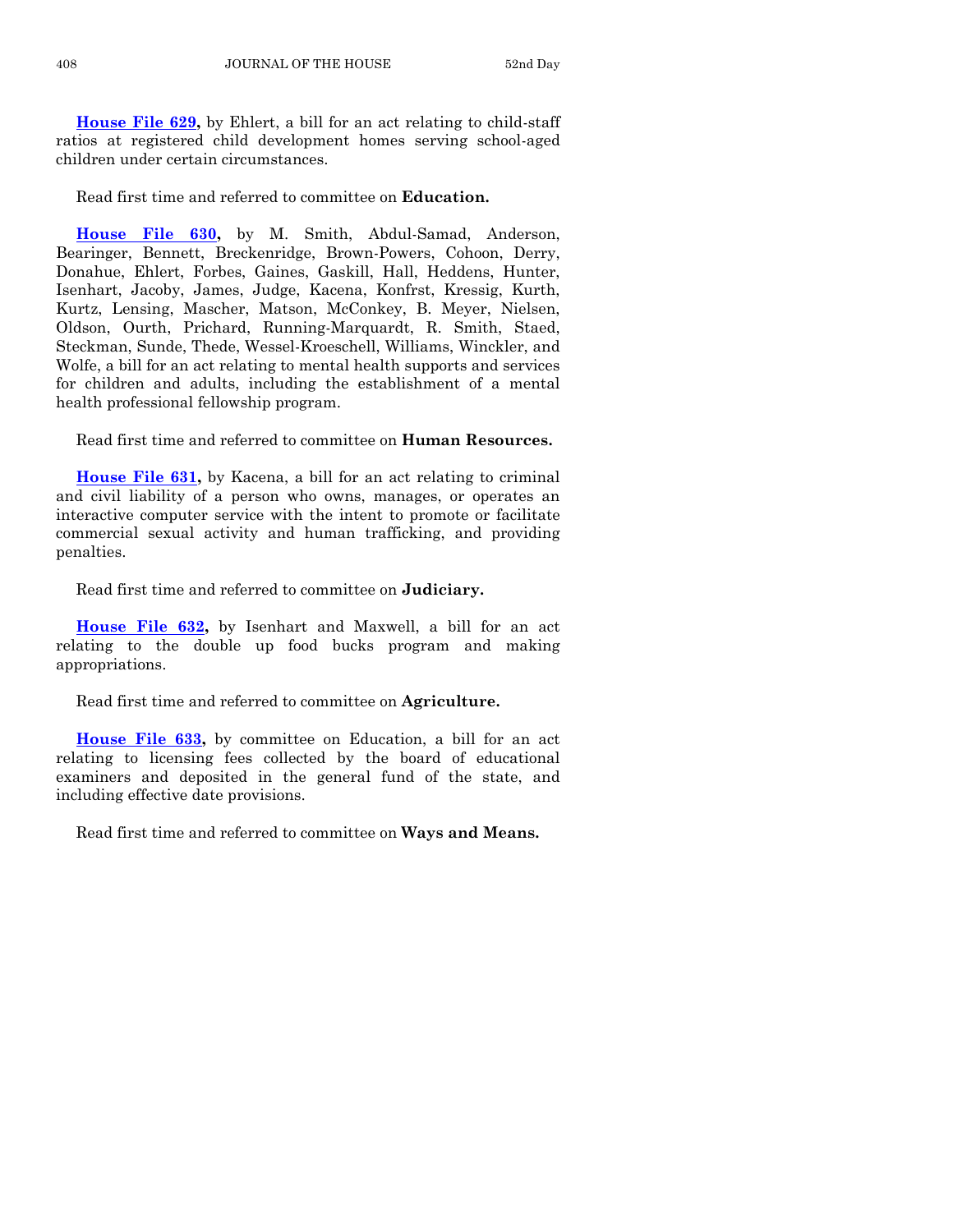**[House File 629,](https://www.legis.iowa.gov/legislation/BillBook?ga=88&ba=HF629)** by Ehlert, a bill for an act relating to child-staff ratios at registered child development homes serving school-aged children under certain circumstances.

Read first time and referred to committee on **Education.**

**[House File 630,](https://www.legis.iowa.gov/legislation/BillBook?ga=88&ba=HF630)** by M. Smith, Abdul-Samad, Anderson, Bearinger, Bennett, Breckenridge, Brown-Powers, Cohoon, Derry, Donahue, Ehlert, Forbes, Gaines, Gaskill, Hall, Heddens, Hunter, Isenhart, Jacoby, James, Judge, Kacena, Konfrst, Kressig, Kurth, Kurtz, Lensing, Mascher, Matson, McConkey, B. Meyer, Nielsen, Oldson, Ourth, Prichard, Running-Marquardt, R. Smith, Staed, Steckman, Sunde, Thede, Wessel-Kroeschell, Williams, Winckler, and Wolfe, a bill for an act relating to mental health supports and services for children and adults, including the establishment of a mental health professional fellowship program.

Read first time and referred to committee on **Human Resources.**

**[House File 631,](https://www.legis.iowa.gov/legislation/BillBook?ga=88&ba=HF631)** by Kacena, a bill for an act relating to criminal and civil liability of a person who owns, manages, or operates an interactive computer service with the intent to promote or facilitate commercial sexual activity and human trafficking, and providing penalties.

Read first time and referred to committee on **Judiciary.**

**[House File 632,](https://www.legis.iowa.gov/legislation/BillBook?ga=88&ba=HF632)** by Isenhart and Maxwell, a bill for an act relating to the double up food bucks program and making appropriations.

Read first time and referred to committee on **Agriculture.**

**[House File 633,](https://www.legis.iowa.gov/legislation/BillBook?ga=88&ba=HF633)** by committee on Education, a bill for an act relating to licensing fees collected by the board of educational examiners and deposited in the general fund of the state, and including effective date provisions.

Read first time and referred to committee on **Ways and Means.**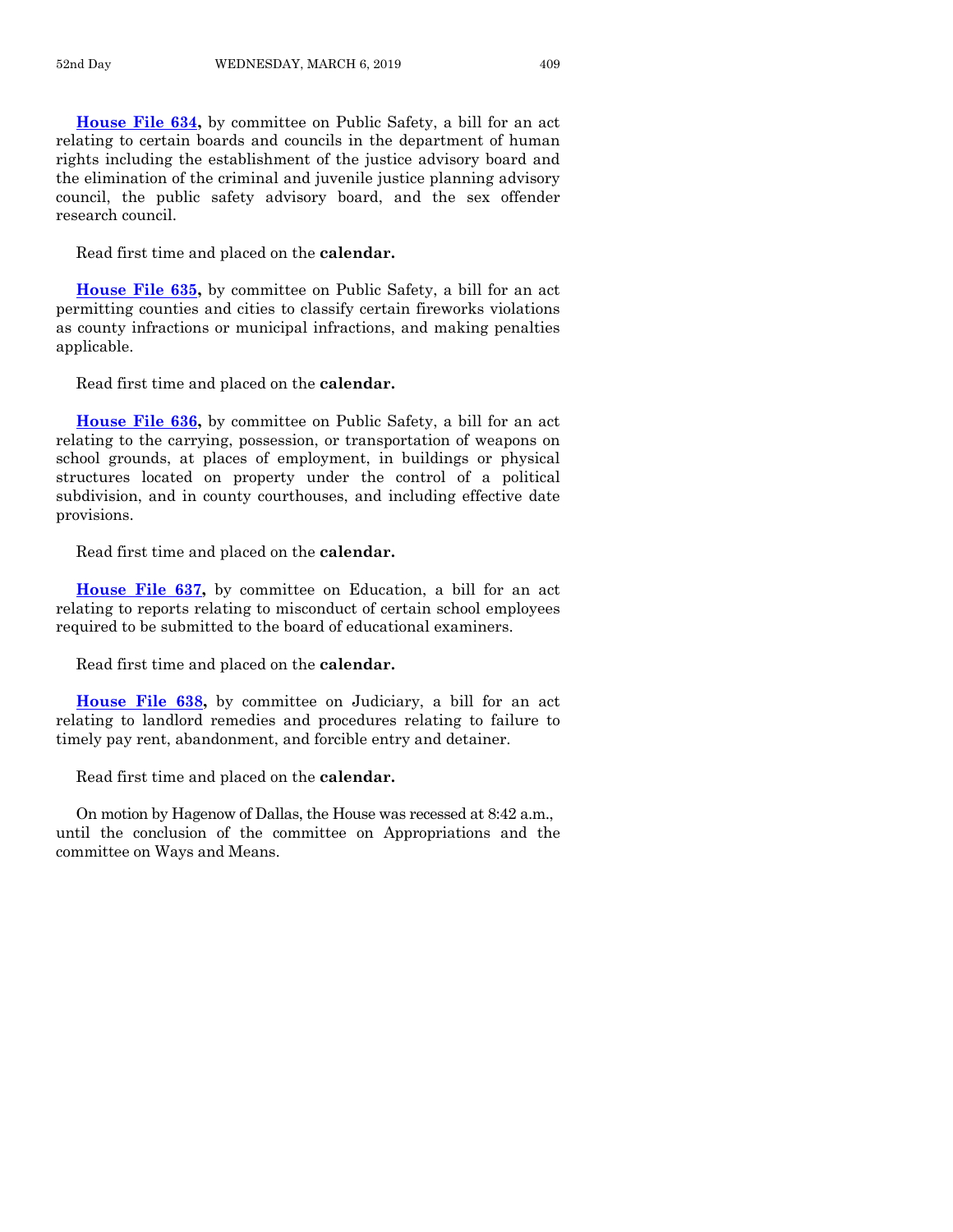**[House File 634,](https://www.legis.iowa.gov/legislation/BillBook?ga=88&ba=HF634)** by committee on Public Safety, a bill for an act relating to certain boards and councils in the department of human rights including the establishment of the justice advisory board and the elimination of the criminal and juvenile justice planning advisory council, the public safety advisory board, and the sex offender research council.

Read first time and placed on the **calendar.**

**[House File 635,](https://www.legis.iowa.gov/legislation/BillBook?ga=88&ba=HF635)** by committee on Public Safety, a bill for an act permitting counties and cities to classify certain fireworks violations as county infractions or municipal infractions, and making penalties applicable.

Read first time and placed on the **calendar.**

**[House File 636,](https://www.legis.iowa.gov/legislation/BillBook?ga=88&ba=HF636)** by committee on Public Safety, a bill for an act relating to the carrying, possession, or transportation of weapons on school grounds, at places of employment, in buildings or physical structures located on property under the control of a political subdivision, and in county courthouses, and including effective date provisions.

Read first time and placed on the **calendar.**

**[House File 637,](https://www.legis.iowa.gov/legislation/BillBook?ga=88&ba=HF637)** by committee on Education, a bill for an act relating to reports relating to misconduct of certain school employees required to be submitted to the board of educational examiners.

Read first time and placed on the **calendar.**

**[House File 638,](https://www.legis.iowa.gov/legislation/BillBook?ga=88&ba=HF638)** by committee on Judiciary, a bill for an act relating to landlord remedies and procedures relating to failure to timely pay rent, abandonment, and forcible entry and detainer.

Read first time and placed on the **calendar.**

On motion by Hagenow of Dallas, the House was recessed at 8:42 a.m., until the conclusion of the committee on Appropriations and the committee on Ways and Means.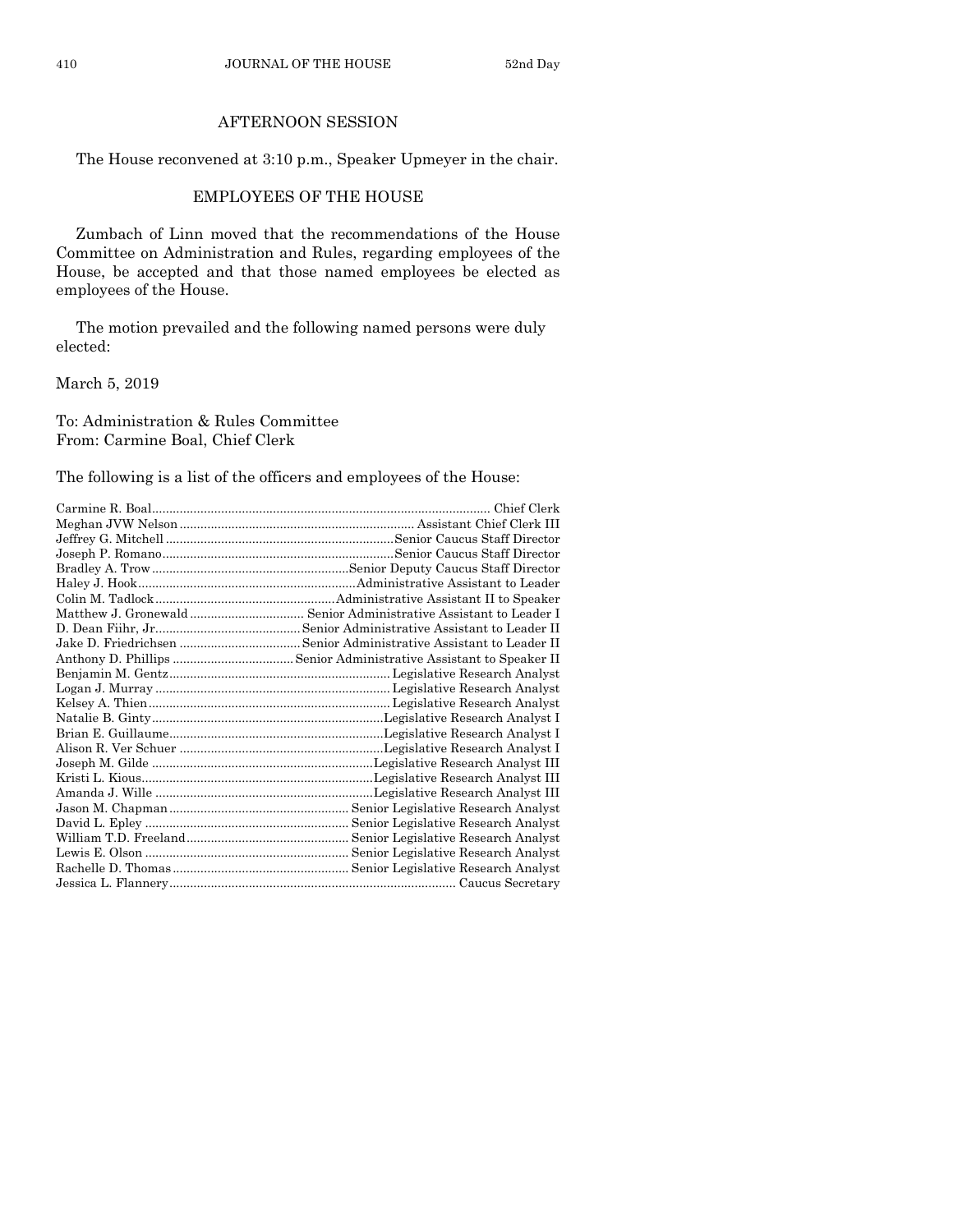#### AFTERNOON SESSION

The House reconvened at 3:10 p.m., Speaker Upmeyer in the chair.

#### EMPLOYEES OF THE HOUSE

Zumbach of Linn moved that the recommendations of the House Committee on Administration and Rules, regarding employees of the House, be accepted and that those named employees be elected as employees of the House.

The motion prevailed and the following named persons were duly elected:

March 5, 2019

To: Administration & Rules Committee From: Carmine Boal, Chief Clerk

The following is a list of the officers and employees of the House:

| Chief Clerk                                                            |
|------------------------------------------------------------------------|
|                                                                        |
|                                                                        |
|                                                                        |
|                                                                        |
|                                                                        |
|                                                                        |
|                                                                        |
|                                                                        |
|                                                                        |
|                                                                        |
|                                                                        |
|                                                                        |
|                                                                        |
|                                                                        |
|                                                                        |
|                                                                        |
|                                                                        |
|                                                                        |
| Amanda J. Wille …………………………………………………………Legislative Research Analyst III |
|                                                                        |
|                                                                        |
|                                                                        |
|                                                                        |
|                                                                        |
|                                                                        |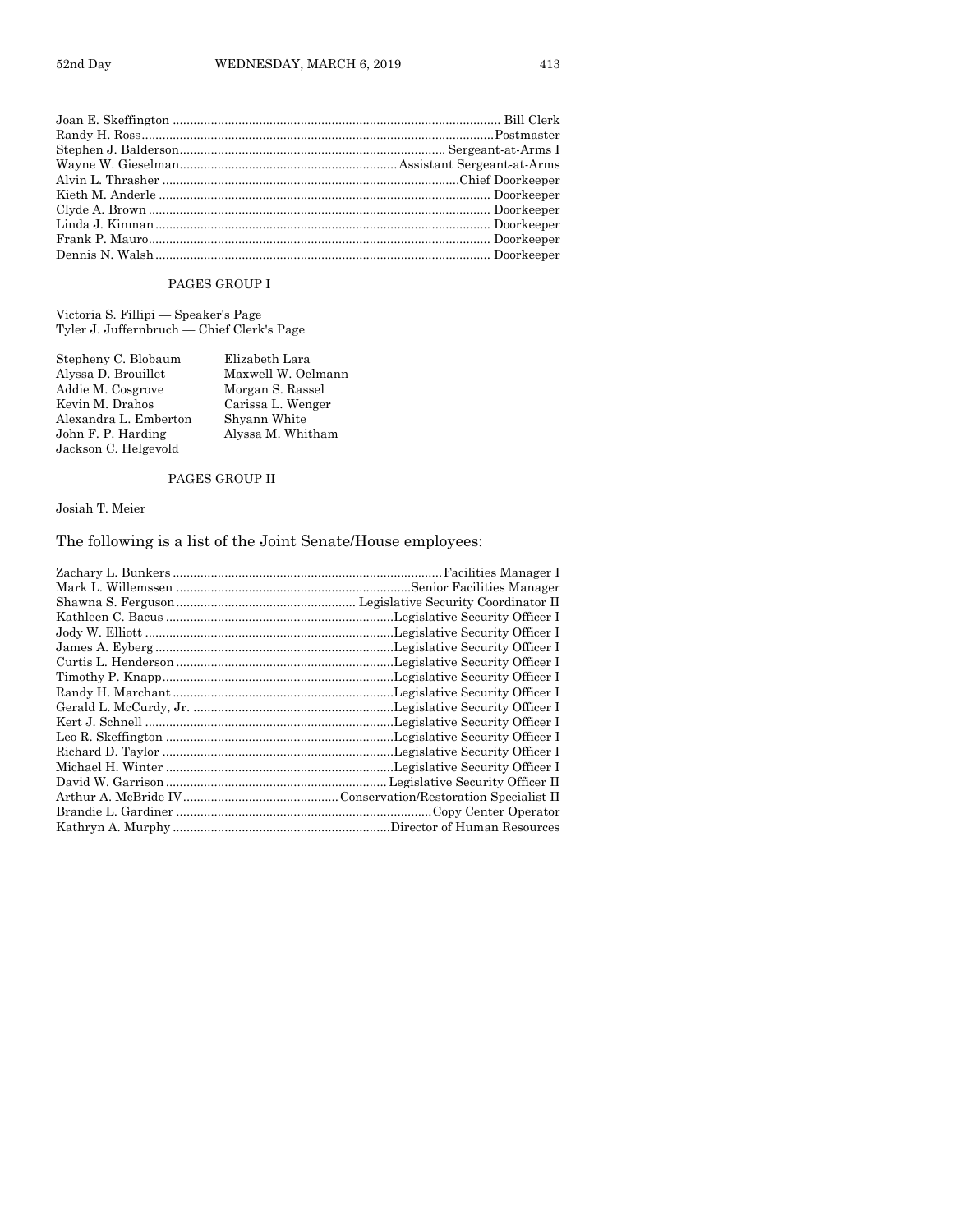#### PAGES GROUP I

Victoria S. Fillipi — Speaker's Page Tyler J. Juffernbruch — Chief Clerk's Page

| Stepheny C. Blobaum   | Elizabeth Lara     |
|-----------------------|--------------------|
| Alyssa D. Brouillet   | Maxwell W. Oelmann |
| Addie M. Cosgrove     | Morgan S. Rassel   |
| Kevin M. Drahos       | Carissa L. Wenger  |
| Alexandra L. Emberton | Shyann White       |
| John F. P. Harding    | Alyssa M. Whitham  |
| Jackson C. Helgevold  |                    |

#### PAGES GROUP II

Josiah T. Meier

### The following is a list of the Joint Senate/House employees:

| Facilities Manager I |
|----------------------|
|                      |
|                      |
|                      |
|                      |
|                      |
|                      |
|                      |
|                      |
|                      |
|                      |
|                      |
|                      |
|                      |
|                      |
|                      |
|                      |
|                      |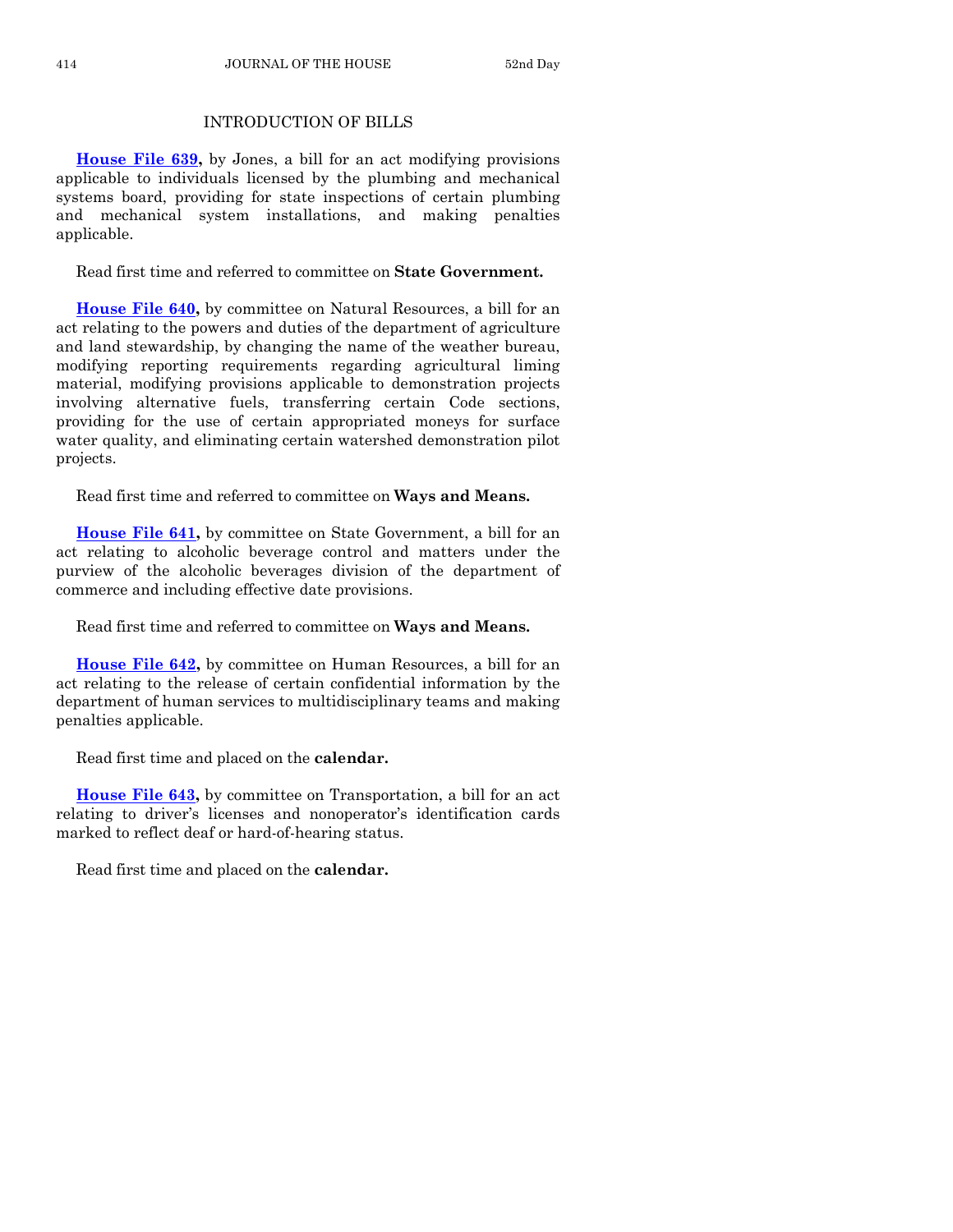#### INTRODUCTION OF BILLS

**[House File 639,](https://www.legis.iowa.gov/legislation/BillBook?ga=88&ba=HF639)** by Jones, a bill for an act modifying provisions applicable to individuals licensed by the plumbing and mechanical systems board, providing for state inspections of certain plumbing and mechanical system installations, and making penalties applicable.

Read first time and referred to committee on **State Government.**

**[House File 640,](https://www.legis.iowa.gov/legislation/BillBook?ga=88&ba=HF640)** by committee on Natural Resources, a bill for an act relating to the powers and duties of the department of agriculture and land stewardship, by changing the name of the weather bureau, modifying reporting requirements regarding agricultural liming material, modifying provisions applicable to demonstration projects involving alternative fuels, transferring certain Code sections, providing for the use of certain appropriated moneys for surface water quality, and eliminating certain watershed demonstration pilot projects.

Read first time and referred to committee on **Ways and Means.**

**[House File 641,](https://www.legis.iowa.gov/legislation/BillBook?ga=88&ba=HF641)** by committee on State Government, a bill for an act relating to alcoholic beverage control and matters under the purview of the alcoholic beverages division of the department of commerce and including effective date provisions.

Read first time and referred to committee on **Ways and Means.**

**[House File 642,](https://www.legis.iowa.gov/legislation/BillBook?ga=88&ba=HF642)** by committee on Human Resources, a bill for an act relating to the release of certain confidential information by the department of human services to multidisciplinary teams and making penalties applicable.

Read first time and placed on the **calendar.**

**[House File 643,](https://www.legis.iowa.gov/legislation/BillBook?ga=88&ba=HF643)** by committee on Transportation, a bill for an act relating to driver's licenses and nonoperator's identification cards marked to reflect deaf or hard-of-hearing status.

Read first time and placed on the **calendar.**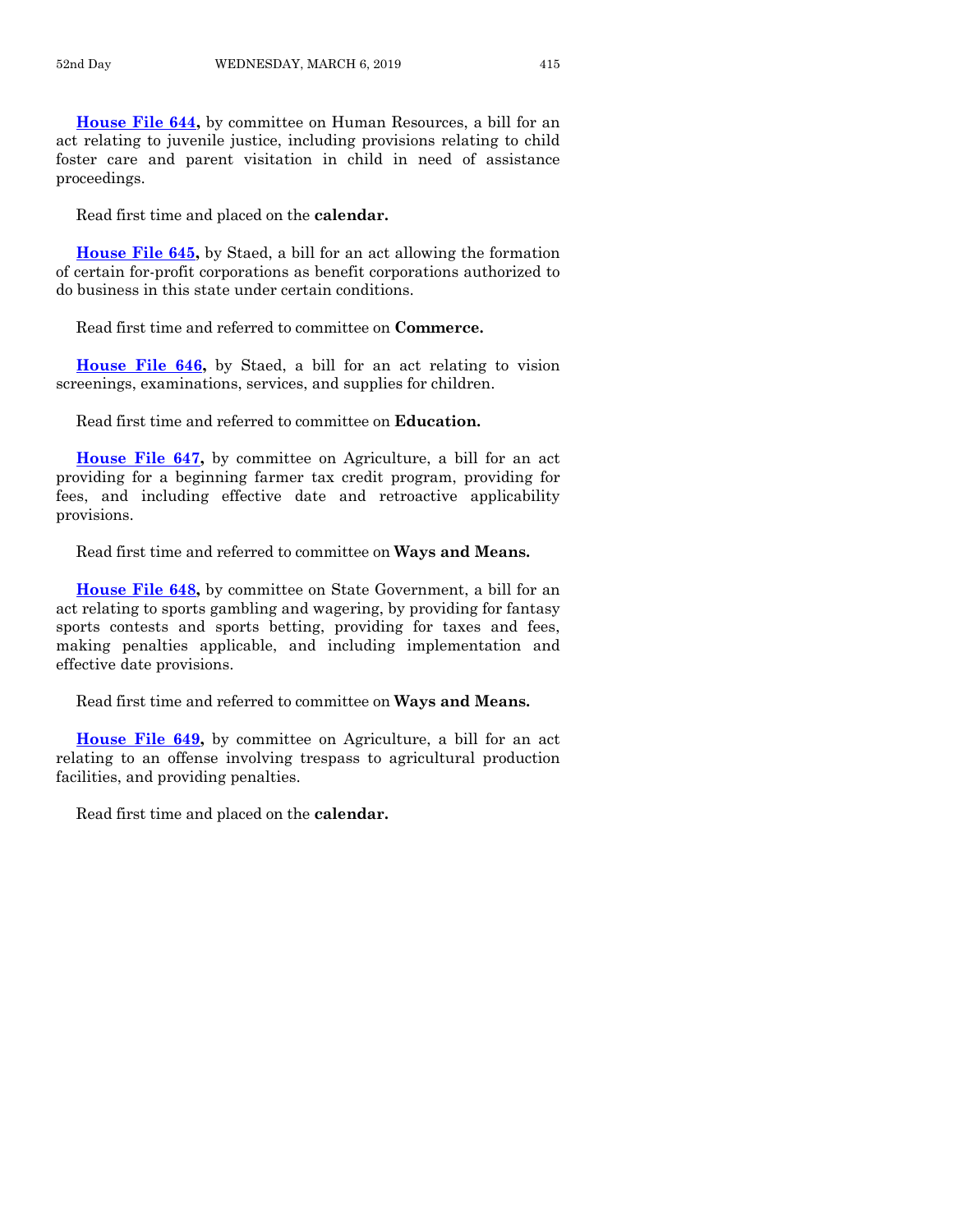**[House File 644,](https://www.legis.iowa.gov/legislation/BillBook?ga=88&ba=HF644)** by committee on Human Resources, a bill for an act relating to juvenile justice, including provisions relating to child foster care and parent visitation in child in need of assistance proceedings.

Read first time and placed on the **calendar.**

**[House File 645,](https://www.legis.iowa.gov/legislation/BillBook?ga=88&ba=HF645)** by Staed, a bill for an act allowing the formation of certain for-profit corporations as benefit corporations authorized to do business in this state under certain conditions.

Read first time and referred to committee on **Commerce.**

**[House File 646,](https://www.legis.iowa.gov/legislation/BillBook?ga=88&ba=HF646)** by Staed, a bill for an act relating to vision screenings, examinations, services, and supplies for children.

Read first time and referred to committee on **Education.**

**[House File 647,](https://www.legis.iowa.gov/legislation/BillBook?ga=88&ba=HF647)** by committee on Agriculture, a bill for an act providing for a beginning farmer tax credit program, providing for fees, and including effective date and retroactive applicability provisions.

Read first time and referred to committee on **Ways and Means.**

**[House File 648,](https://www.legis.iowa.gov/legislation/BillBook?ga=88&ba=HF648)** by committee on State Government, a bill for an act relating to sports gambling and wagering, by providing for fantasy sports contests and sports betting, providing for taxes and fees, making penalties applicable, and including implementation and effective date provisions.

Read first time and referred to committee on **Ways and Means.**

**[House File 649,](https://www.legis.iowa.gov/legislation/BillBook?ga=88&ba=HF649)** by committee on Agriculture, a bill for an act relating to an offense involving trespass to agricultural production facilities, and providing penalties.

Read first time and placed on the **calendar.**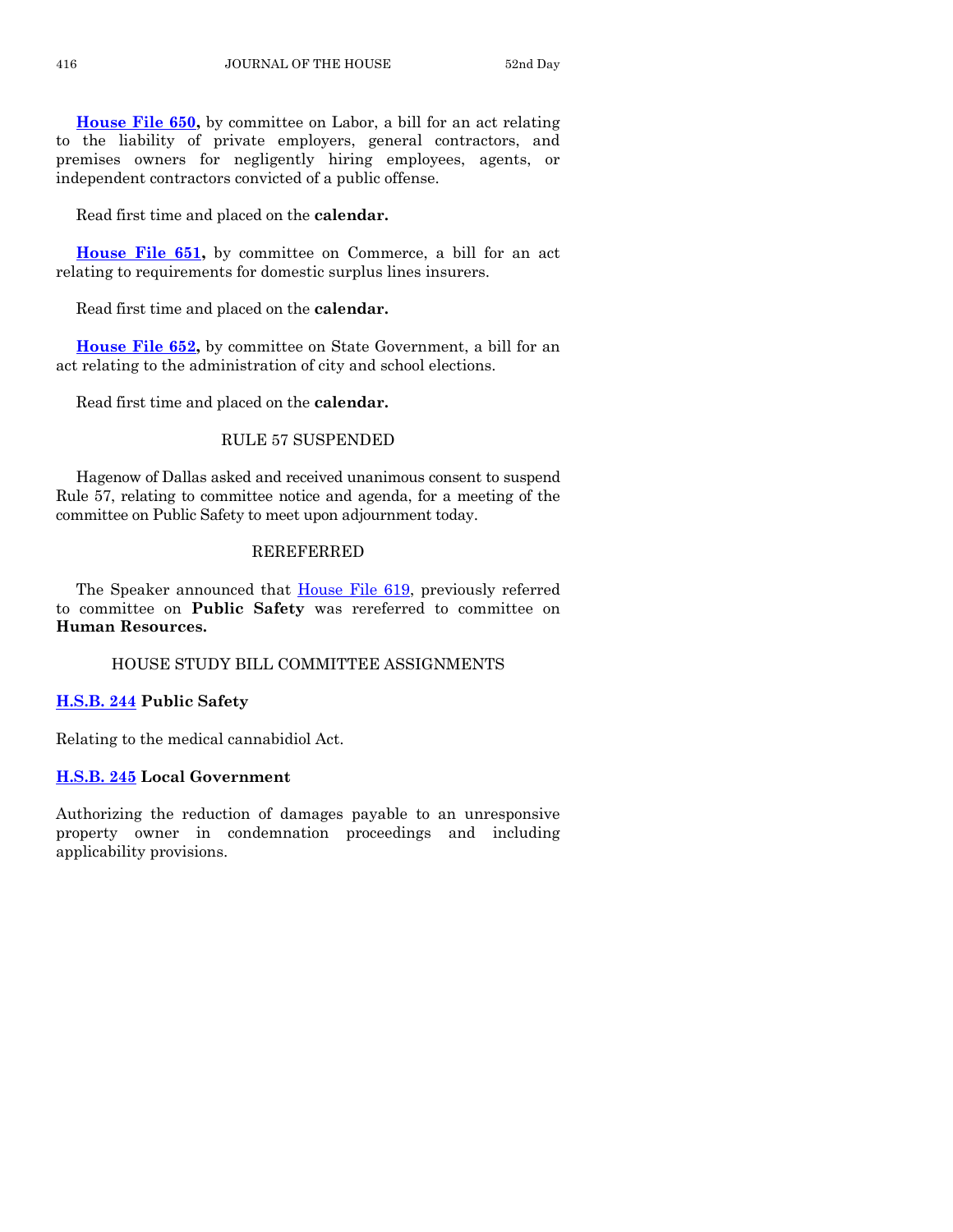**[House File 650,](https://www.legis.iowa.gov/legislation/BillBook?ga=88&ba=HF650)** by committee on Labor, a bill for an act relating to the liability of private employers, general contractors, and premises owners for negligently hiring employees, agents, or independent contractors convicted of a public offense.

Read first time and placed on the **calendar.**

**[House File 651,](https://www.legis.iowa.gov/legislation/BillBook?ga=88&ba=HF651)** by committee on Commerce, a bill for an act relating to requirements for domestic surplus lines insurers.

Read first time and placed on the **calendar.**

**[House File 652,](https://www.legis.iowa.gov/legislation/BillBook?ga=88&ba=HF652)** by committee on State Government, a bill for an act relating to the administration of city and school elections.

Read first time and placed on the **calendar.**

#### RULE 57 SUSPENDED

Hagenow of Dallas asked and received unanimous consent to suspend Rule 57, relating to committee notice and agenda, for a meeting of the committee on Public Safety to meet upon adjournment today.

#### REREFERRED

The Speaker announced that **House File 619**, previously referred to committee on **Public Safety** was rereferred to committee on **Human Resources.**

HOUSE STUDY BILL COMMITTEE ASSIGNMENTS

#### **[H.S.B. 244](https://www.legis.iowa.gov/legislation/BillBook?ga=88&ba=HSB244) Public Safety**

Relating to the medical cannabidiol Act.

#### **[H.S.B. 245](https://www.legis.iowa.gov/legislation/BillBook?ga=88&ba=HSB245) Local Government**

Authorizing the reduction of damages payable to an unresponsive property owner in condemnation proceedings and including applicability provisions.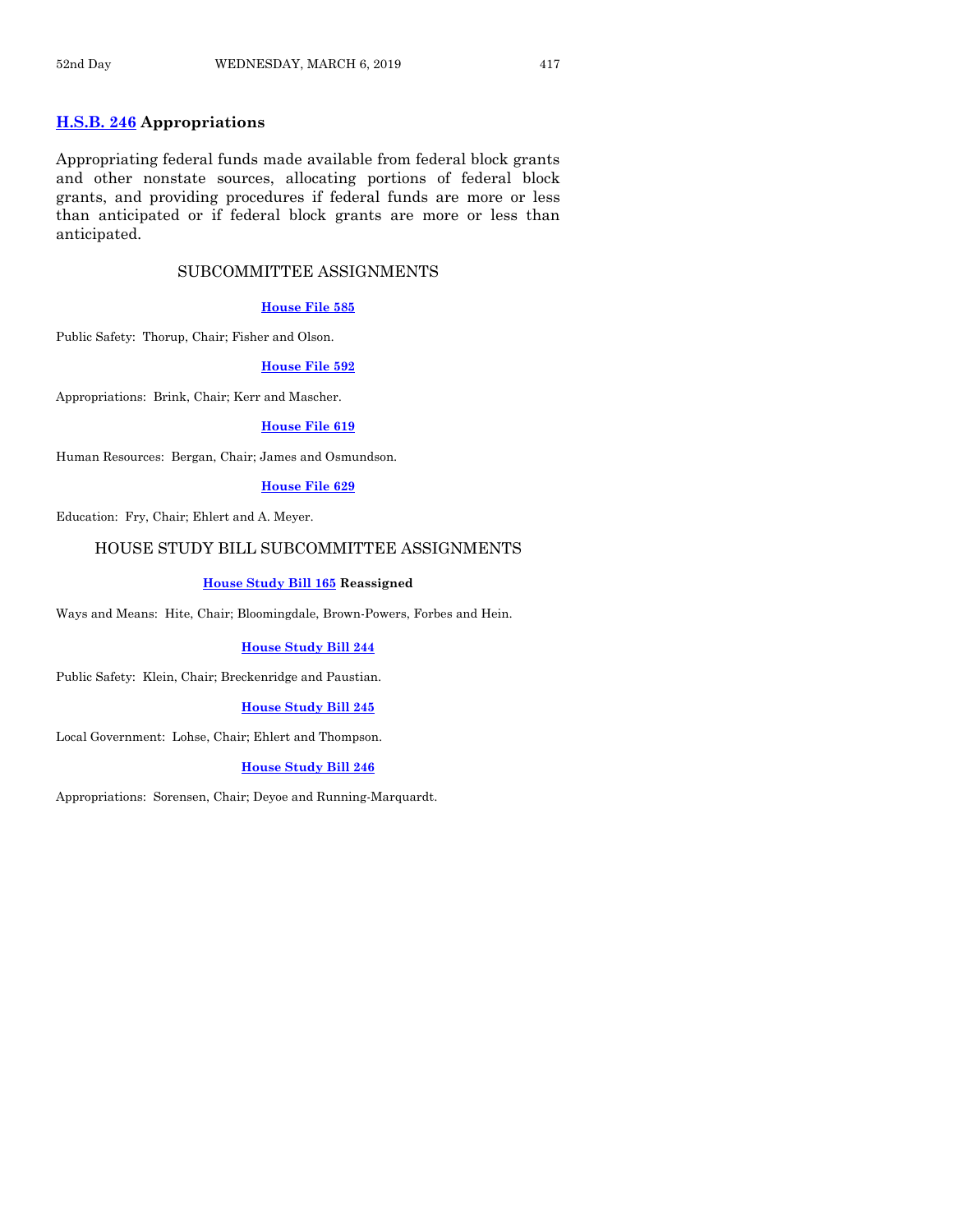#### **[H.S.B. 246](https://www.legis.iowa.gov/legislation/BillBook?ga=88&ba=HSB246) Appropriations**

Appropriating federal funds made available from federal block grants and other nonstate sources, allocating portions of federal block grants, and providing procedures if federal funds are more or less than anticipated or if federal block grants are more or less than anticipated.

#### SUBCOMMITTEE ASSIGNMENTS

#### **[House File 585](https://www.legis.iowa.gov/legislation/BillBook?ga=88&ba=HF585)**

Public Safety: Thorup, Chair; Fisher and Olson.

#### **[House File 592](https://www.legis.iowa.gov/legislation/BillBook?ga=88&ba=HF592)**

Appropriations: Brink, Chair; Kerr and Mascher.

#### **[House File 619](https://www.legis.iowa.gov/legislation/BillBook?ga=88&ba=HF619)**

Human Resources: Bergan, Chair; James and Osmundson.

#### **[House File 629](https://www.legis.iowa.gov/legislation/BillBook?ga=88&ba=HF629)**

Education: Fry, Chair; Ehlert and A. Meyer.

#### HOUSE STUDY BILL SUBCOMMITTEE ASSIGNMENTS

#### **[House Study Bill 165](https://www.legis.iowa.gov/legislation/BillBook?ga=88&ba=HSB165) Reassigned**

Ways and Means: Hite, Chair; Bloomingdale, Brown-Powers, Forbes and Hein.

#### **[House Study Bill 244](https://www.legis.iowa.gov/legislation/BillBook?ga=88&ba=HSB244)**

Public Safety: Klein, Chair; Breckenridge and Paustian.

#### **[House Study Bill 245](https://www.legis.iowa.gov/legislation/BillBook?ga=88&ba=HSB245)**

Local Government: Lohse, Chair; Ehlert and Thompson.

#### **[House Study Bill 246](https://www.legis.iowa.gov/legislation/BillBook?ga=88&ba=HSB246)**

Appropriations: Sorensen, Chair; Deyoe and Running-Marquardt.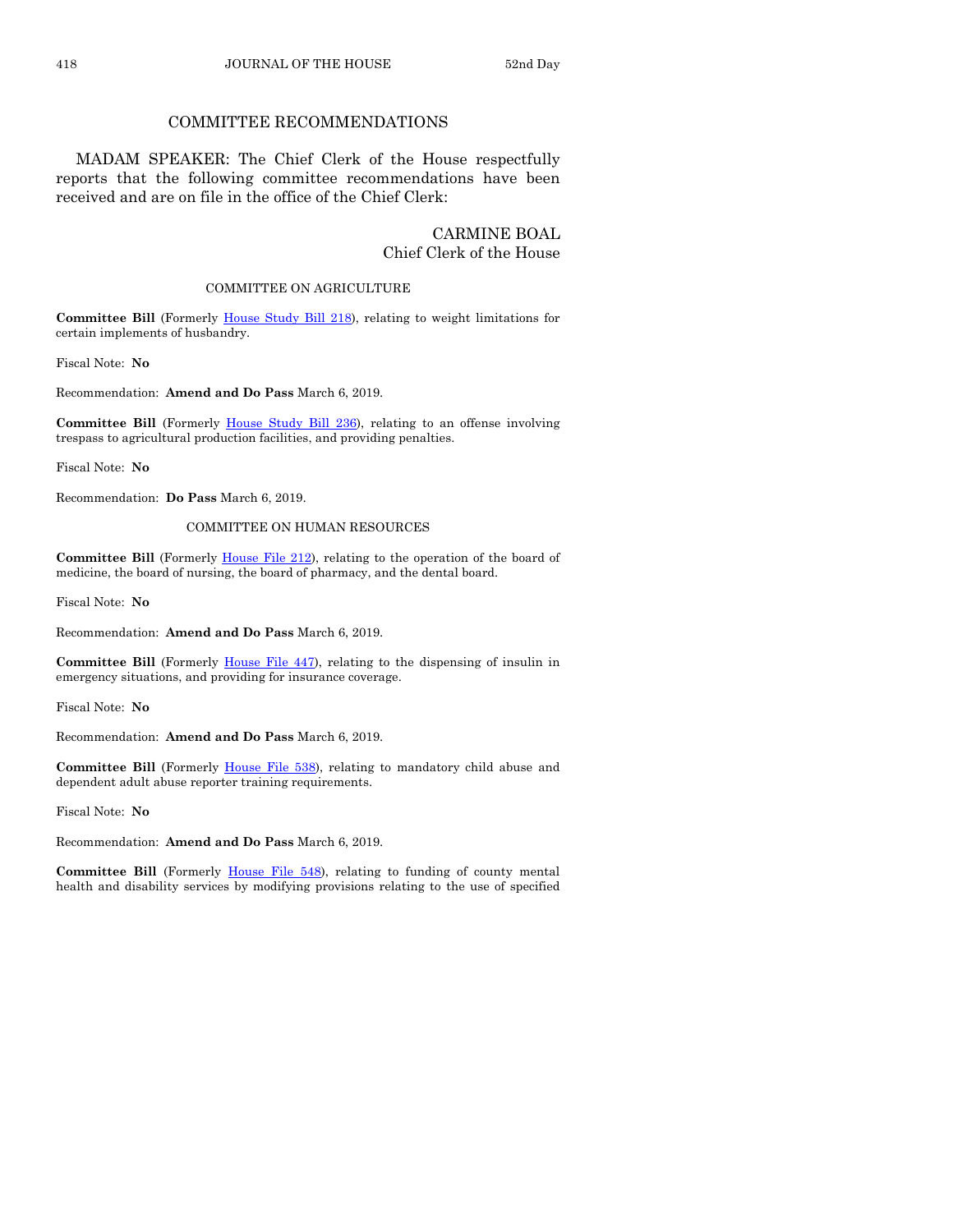#### COMMITTEE RECOMMENDATIONS

MADAM SPEAKER: The Chief Clerk of the House respectfully reports that the following committee recommendations have been received and are on file in the office of the Chief Clerk:

#### CARMINE BOAL Chief Clerk of the House

#### COMMITTEE ON AGRICULTURE

**Committee Bill** (Formerly [House Study Bill 218\)](https://www.legis.iowa.gov/legislation/BillBook?ga=88&ba=HSB218), relating to weight limitations for certain implements of husbandry.

Fiscal Note: **No**

Recommendation: **Amend and Do Pass** March 6, 2019.

**Committee Bill** (Formerly [House Study Bill 236\),](https://www.legis.iowa.gov/legislation/BillBook?ga=88&ba=HSB236) relating to an offense involving trespass to agricultural production facilities, and providing penalties.

Fiscal Note: **No**

Recommendation: **Do Pass** March 6, 2019.

#### COMMITTEE ON HUMAN RESOURCES

**Committee Bill** (Formerly [House File 212\)](https://www.legis.iowa.gov/legislation/BillBook?ga=88&ba=HF212), relating to the operation of the board of medicine, the board of nursing, the board of pharmacy, and the dental board.

Fiscal Note: **No**

Recommendation: **Amend and Do Pass** March 6, 2019.

**Committee Bill** (Formerly [House File 447\)](https://www.legis.iowa.gov/legislation/BillBook?ga=88&ba=HF447), relating to the dispensing of insulin in emergency situations, and providing for insurance coverage.

Fiscal Note: **No**

Recommendation: **Amend and Do Pass** March 6, 2019.

**Committee Bill** (Formerly [House File 538\)](https://www.legis.iowa.gov/legislation/BillBook?ga=88&ba=HF538), relating to mandatory child abuse and dependent adult abuse reporter training requirements.

Fiscal Note: **No**

Recommendation: **Amend and Do Pass** March 6, 2019.

**Committee Bill** (Formerly [House File 548\)](https://www.legis.iowa.gov/legislation/BillBook?ga=88&ba=HF548), relating to funding of county mental health and disability services by modifying provisions relating to the use of specified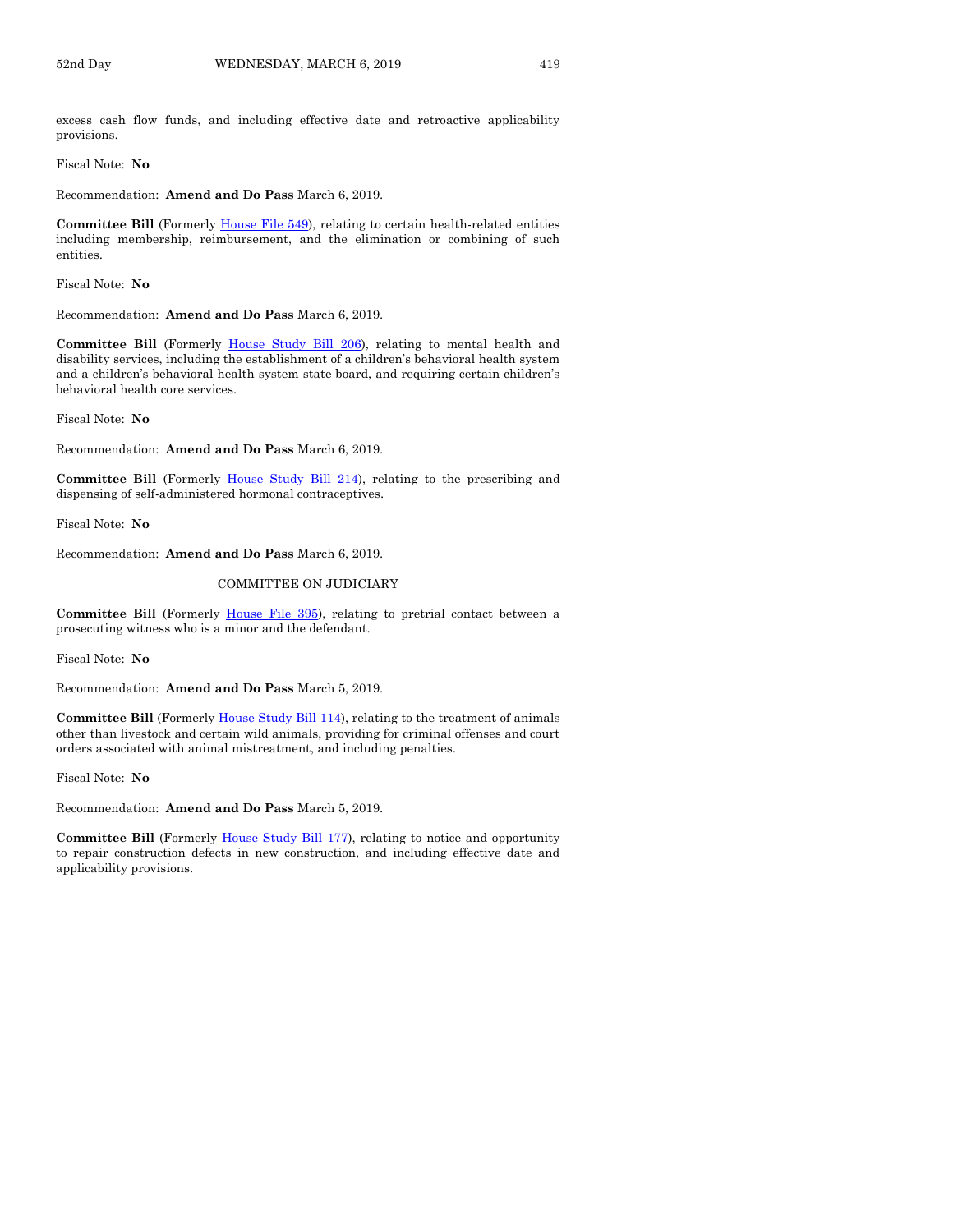excess cash flow funds, and including effective date and retroactive applicability provisions.

Fiscal Note: **No**

Recommendation: **Amend and Do Pass** March 6, 2019.

**Committee Bill** (Formerly [House File 549\)](https://www.legis.iowa.gov/legislation/BillBook?ga=88&ba=HF549), relating to certain health-related entities including membership, reimbursement, and the elimination or combining of such entities.

Fiscal Note: **No**

Recommendation: **Amend and Do Pass** March 6, 2019.

**Committee Bill** (Formerly [House Study Bill 206\),](https://www.legis.iowa.gov/legislation/BillBook?ga=88&ba=HSB206) relating to mental health and disability services, including the establishment of a children's behavioral health system and a children's behavioral health system state board, and requiring certain children's behavioral health core services.

Fiscal Note: **No**

Recommendation: **Amend and Do Pass** March 6, 2019.

**Committee Bill** (Formerly [House Study Bill 214\),](https://www.legis.iowa.gov/legislation/BillBook?ga=88&ba=HSB214) relating to the prescribing and dispensing of self-administered hormonal contraceptives.

Fiscal Note: **No**

Recommendation: **Amend and Do Pass** March 6, 2019.

#### COMMITTEE ON JUDICIARY

Committee Bill (Formerly [House File 395\)](https://www.legis.iowa.gov/legislation/BillBook?ga=88&ba=HF395), relating to pretrial contact between a prosecuting witness who is a minor and the defendant.

Fiscal Note: **No**

Recommendation: **Amend and Do Pass** March 5, 2019.

**Committee Bill** (Formerl[y House Study Bill 114\)](https://www.legis.iowa.gov/legislation/BillBook?ga=88&ba=HSB114), relating to the treatment of animals other than livestock and certain wild animals, providing for criminal offenses and court orders associated with animal mistreatment, and including penalties.

Fiscal Note: **No**

Recommendation: **Amend and Do Pass** March 5, 2019.

**Committee Bill** (Formerly [House Study Bill 177\)](https://www.legis.iowa.gov/legislation/BillBook?ga=88&ba=HSB177), relating to notice and opportunity to repair construction defects in new construction, and including effective date and applicability provisions.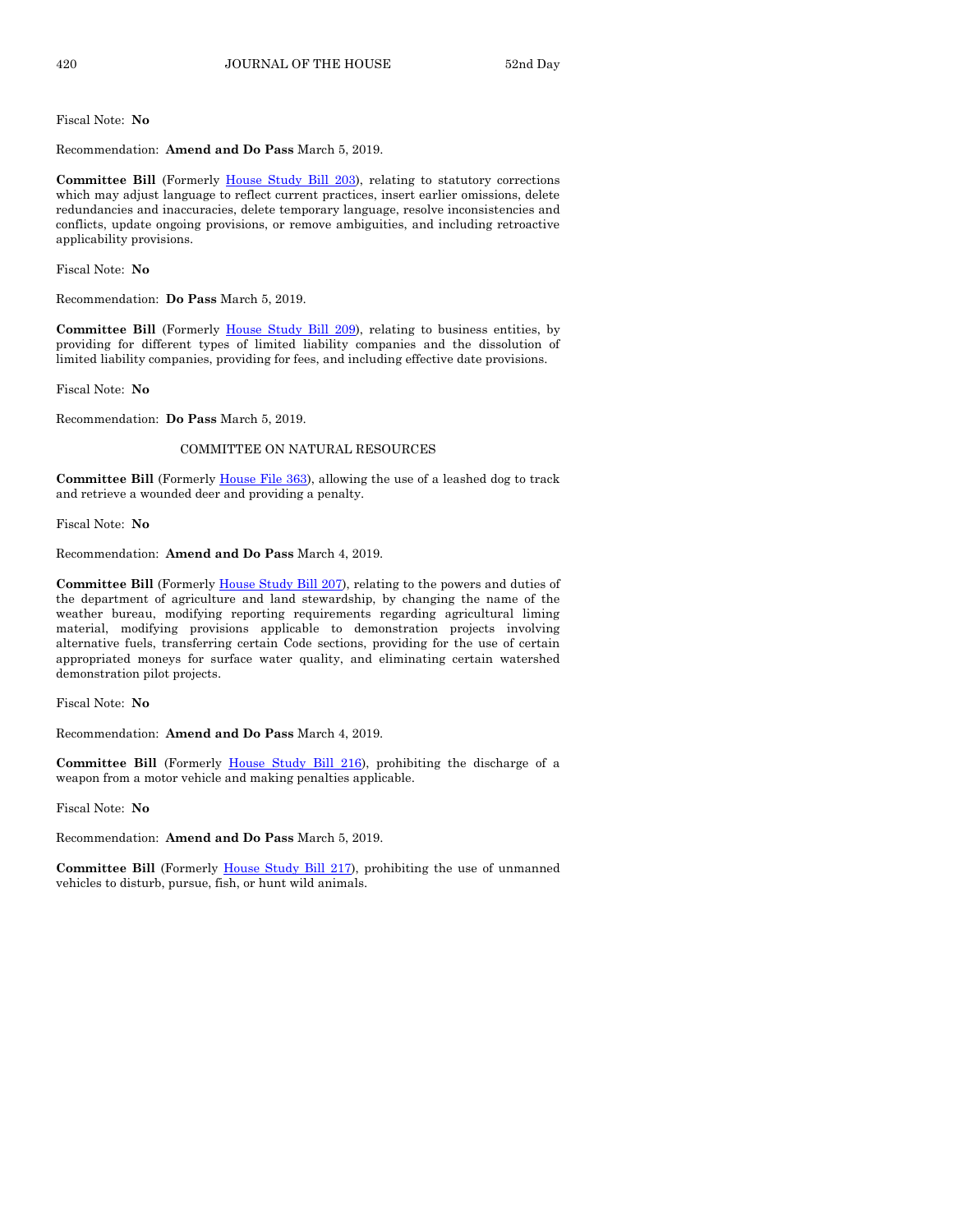Recommendation: **Amend and Do Pass** March 5, 2019.

**Committee Bill** (Formerly [House Study Bill 203\)](https://www.legis.iowa.gov/legislation/BillBook?ga=88&ba=HSB203), relating to statutory corrections which may adjust language to reflect current practices, insert earlier omissions, delete redundancies and inaccuracies, delete temporary language, resolve inconsistencies and conflicts, update ongoing provisions, or remove ambiguities, and including retroactive applicability provisions.

Fiscal Note: **No**

Recommendation: **Do Pass** March 5, 2019.

**Committee Bill** (Formerly [House Study Bill 209\)](https://www.legis.iowa.gov/legislation/BillBook?ga=88&ba=HSB209), relating to business entities, by providing for different types of limited liability companies and the dissolution of limited liability companies, providing for fees, and including effective date provisions.

Fiscal Note: **No**

Recommendation: **Do Pass** March 5, 2019.

#### COMMITTEE ON NATURAL RESOURCES

**Committee Bill** (Formerly [House File 363\)](https://www.legis.iowa.gov/legislation/BillBook?ga=88&ba=HF363), allowing the use of a leashed dog to track and retrieve a wounded deer and providing a penalty.

Fiscal Note: **No**

Recommendation: **Amend and Do Pass** March 4, 2019.

**Committee Bill** (Formerly [House Study Bill 207\)](https://www.legis.iowa.gov/legislation/BillBook?ga=88&ba=HSB207), relating to the powers and duties of the department of agriculture and land stewardship, by changing the name of the weather bureau, modifying reporting requirements regarding agricultural liming material, modifying provisions applicable to demonstration projects involving alternative fuels, transferring certain Code sections, providing for the use of certain appropriated moneys for surface water quality, and eliminating certain watershed demonstration pilot projects.

Fiscal Note: **No**

Recommendation: **Amend and Do Pass** March 4, 2019.

**Committee Bill** (Formerly [House Study Bill 216\)](https://www.legis.iowa.gov/legislation/BillBook?ga=88&ba=HSB216), prohibiting the discharge of a weapon from a motor vehicle and making penalties applicable.

Fiscal Note: **No**

Recommendation: **Amend and Do Pass** March 5, 2019.

Committee Bill (Formerly [House Study Bill 217\)](https://www.legis.iowa.gov/legislation/BillBook?ga=88&ba=HSB217), prohibiting the use of unmanned vehicles to disturb, pursue, fish, or hunt wild animals.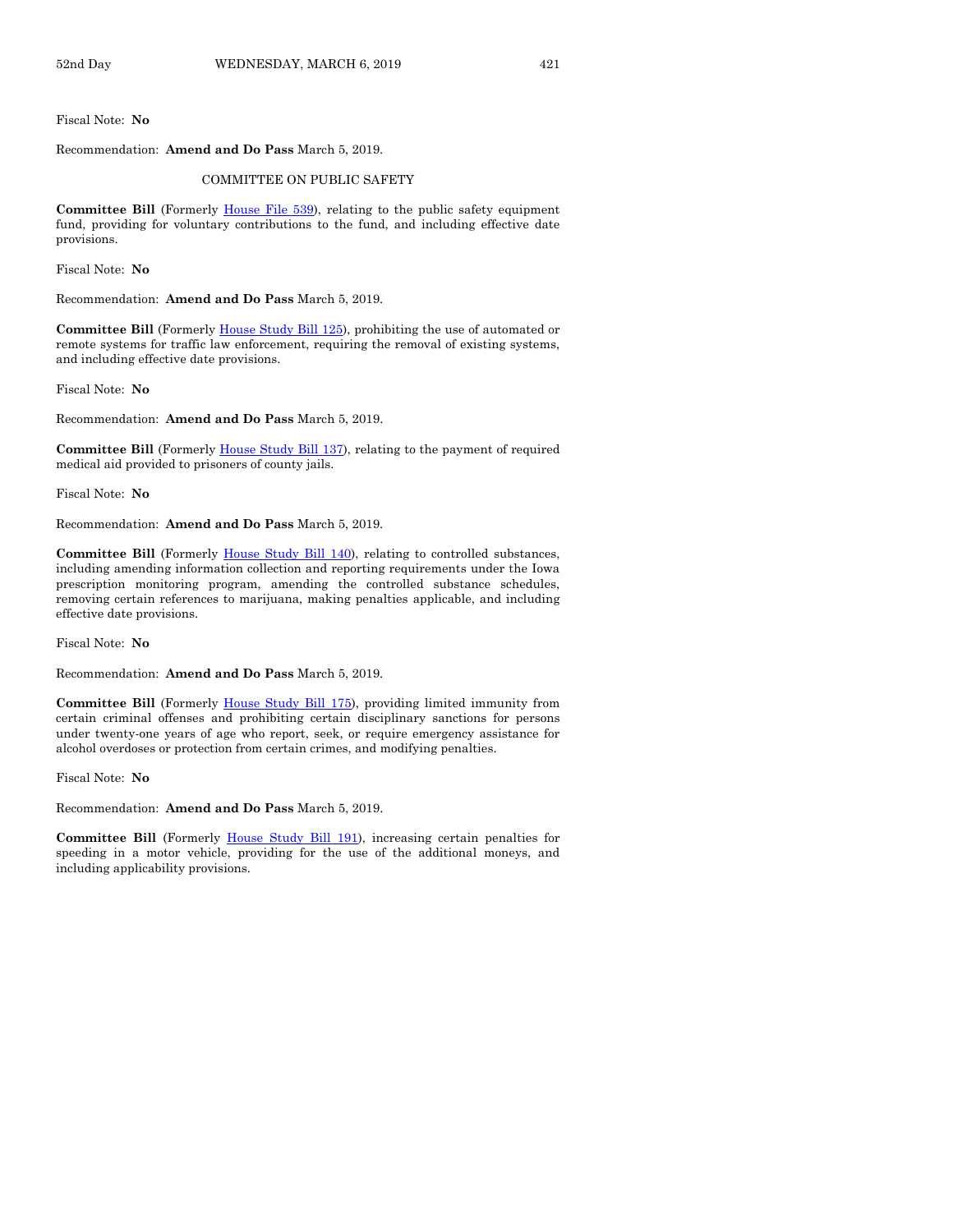Recommendation: **Amend and Do Pass** March 5, 2019.

#### COMMITTEE ON PUBLIC SAFETY

**Committee Bill** (Formerly [House File 539\)](https://www.legis.iowa.gov/legislation/BillBook?ga=88&ba=HF539), relating to the public safety equipment fund, providing for voluntary contributions to the fund, and including effective date provisions.

Fiscal Note: **No**

Recommendation: **Amend and Do Pass** March 5, 2019.

**Committee Bill** (Formerly [House Study Bill 125\),](https://www.legis.iowa.gov/legislation/BillBook?ga=88&ba=HSB125) prohibiting the use of automated or remote systems for traffic law enforcement, requiring the removal of existing systems, and including effective date provisions.

Fiscal Note: **No**

Recommendation: **Amend and Do Pass** March 5, 2019.

**Committee Bill** (Formerly [House Study Bill 137\)](https://www.legis.iowa.gov/legislation/BillBook?ga=88&ba=HSB137), relating to the payment of required medical aid provided to prisoners of county jails.

Fiscal Note: **No**

Recommendation: **Amend and Do Pass** March 5, 2019.

**Committee Bill** (Formerly [House Study Bill 140\)](https://www.legis.iowa.gov/legislation/BillBook?ga=88&ba=HSB140), relating to controlled substances, including amending information collection and reporting requirements under the Iowa prescription monitoring program, amending the controlled substance schedules, removing certain references to marijuana, making penalties applicable, and including effective date provisions.

Fiscal Note: **No**

Recommendation: **Amend and Do Pass** March 5, 2019.

**Committee Bill** (Formerly [House Study Bill 175\)](https://www.legis.iowa.gov/legislation/BillBook?ga=88&ba=HSB175), providing limited immunity from certain criminal offenses and prohibiting certain disciplinary sanctions for persons under twenty-one years of age who report, seek, or require emergency assistance for alcohol overdoses or protection from certain crimes, and modifying penalties.

Fiscal Note: **No**

Recommendation: **Amend and Do Pass** March 5, 2019.

**Committee Bill** (Formerly [House Study Bill 191\)](https://www.legis.iowa.gov/legislation/BillBook?ga=88&ba=HSB191), increasing certain penalties for speeding in a motor vehicle, providing for the use of the additional moneys, and including applicability provisions.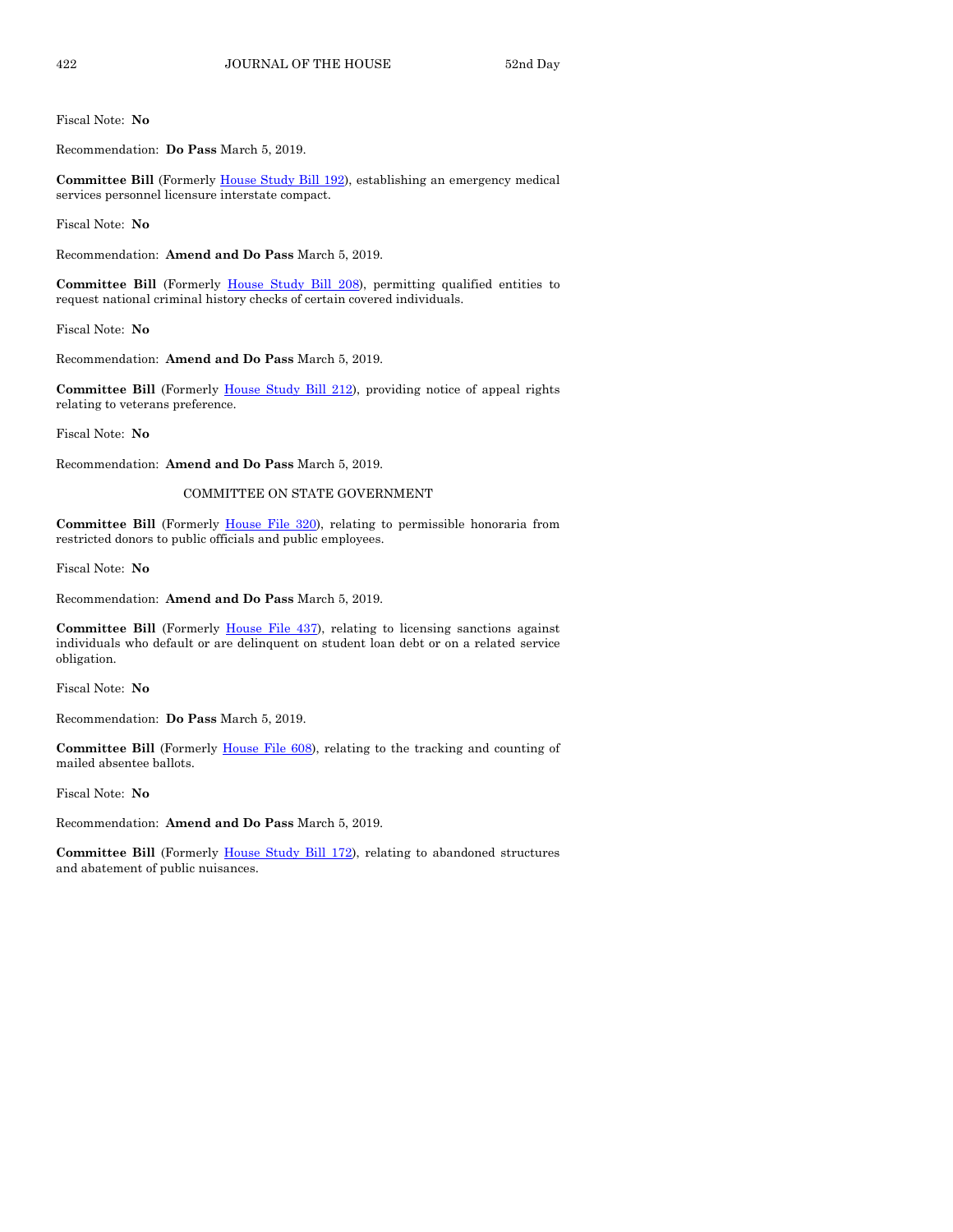Recommendation: **Do Pass** March 5, 2019.

**Committee Bill** (Formerly [House Study Bill 192\)](https://www.legis.iowa.gov/legislation/BillBook?ga=88&ba=HSB192), establishing an emergency medical services personnel licensure interstate compact.

Fiscal Note: **No**

Recommendation: **Amend and Do Pass** March 5, 2019.

**Committee Bill** (Formerly [House Study Bill 208\)](https://www.legis.iowa.gov/legislation/BillBook?ga=88&ba=HSB208), permitting qualified entities to request national criminal history checks of certain covered individuals.

Fiscal Note: **No**

Recommendation: **Amend and Do Pass** March 5, 2019.

**Committee Bill** (Formerly [House Study Bill 212\)](https://www.legis.iowa.gov/legislation/BillBook?ga=88&ba=HSB212), providing notice of appeal rights relating to veterans preference.

Fiscal Note: **No**

Recommendation: **Amend and Do Pass** March 5, 2019.

#### COMMITTEE ON STATE GOVERNMENT

**Committee Bill** (Formerly [House File 320\)](https://www.legis.iowa.gov/legislation/BillBook?ga=88&ba=HF320), relating to permissible honoraria from restricted donors to public officials and public employees.

Fiscal Note: **No**

Recommendation: **Amend and Do Pass** March 5, 2019.

**Committee Bill** (Formerly [House File 437\)](https://www.legis.iowa.gov/legislation/BillBook?ga=88&ba=HF437), relating to licensing sanctions against individuals who default or are delinquent on student loan debt or on a related service obligation.

Fiscal Note: **No**

Recommendation: **Do Pass** March 5, 2019.

**Committee Bill** (Formerly [House File 608\)](https://www.legis.iowa.gov/legislation/BillBook?ga=88&ba=HF608), relating to the tracking and counting of mailed absentee ballots.

Fiscal Note: **No**

Recommendation: **Amend and Do Pass** March 5, 2019.

**Committee Bill** (Formerly [House Study Bill 172\),](https://www.legis.iowa.gov/legislation/BillBook?ga=88&ba=HSB172) relating to abandoned structures and abatement of public nuisances.